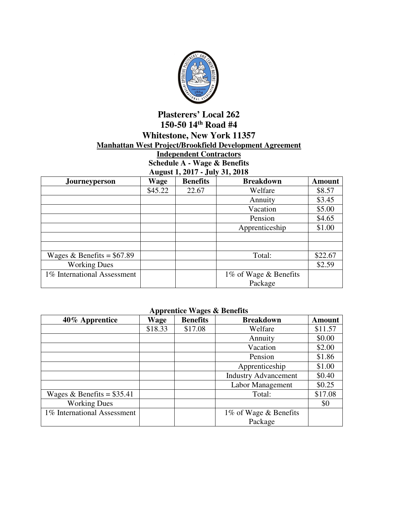

## **Plasterers' Local 262 150-50 14th Road #4 Whitestone, New York 11357 Manhattan West Project/Brookfield Development Agreement**

## **Independent Contractors Schedule A - Wage & Benefits August 1, 2017 - July 31, 2018**

| Journeyperson               | <u>ີອີ</u><br>Wage | <b>Benefits</b> | <b>Breakdown</b>      | <b>Amount</b> |
|-----------------------------|--------------------|-----------------|-----------------------|---------------|
|                             | \$45.22            | 22.67           | Welfare               | \$8.57        |
|                             |                    |                 | Annuity               | \$3.45        |
|                             |                    |                 | Vacation              | \$5.00        |
|                             |                    |                 | Pension               | \$4.65        |
|                             |                    |                 | Apprenticeship        | \$1.00        |
|                             |                    |                 |                       |               |
|                             |                    |                 |                       |               |
| Wages & Benefits = $$67.89$ |                    |                 | Total:                | \$22.67       |
| <b>Working Dues</b>         |                    |                 |                       | \$2.59        |
| 1% International Assessment |                    |                 | 1% of Wage & Benefits |               |
|                             |                    |                 | Package               |               |

## **Apprentice Wages & Benefits**

| 40% Apprentice              | . .<br>Wage | <b>Benefits</b> | <b>Breakdown</b>            | <b>Amount</b> |
|-----------------------------|-------------|-----------------|-----------------------------|---------------|
|                             | \$18.33     | \$17.08         | Welfare                     | \$11.57       |
|                             |             |                 | Annuity                     | \$0.00        |
|                             |             |                 | Vacation                    | \$2.00        |
|                             |             |                 | Pension                     | \$1.86        |
|                             |             |                 | Apprenticeship              | \$1.00        |
|                             |             |                 | <b>Industry Advancement</b> | \$0.40        |
|                             |             |                 | Labor Management            | \$0.25        |
| Wages & Benefits = $$35.41$ |             |                 | Total:                      | \$17.08       |
| <b>Working Dues</b>         |             |                 |                             | \$0           |
| 1% International Assessment |             |                 | 1% of Wage & Benefits       |               |
|                             |             |                 | Package                     |               |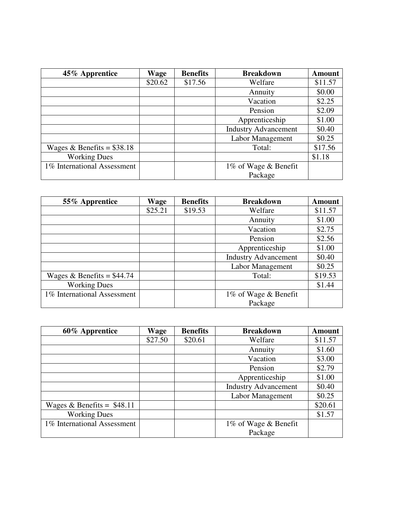| 45% Apprentice              | Wage    | <b>Benefits</b> | <b>Breakdown</b>            | <b>Amount</b> |
|-----------------------------|---------|-----------------|-----------------------------|---------------|
|                             | \$20.62 | \$17.56         | Welfare                     | \$11.57       |
|                             |         |                 | Annuity                     | \$0.00        |
|                             |         |                 | Vacation                    | \$2.25        |
|                             |         |                 | Pension                     | \$2.09        |
|                             |         |                 | Apprenticeship              | \$1.00        |
|                             |         |                 | <b>Industry Advancement</b> | \$0.40        |
|                             |         |                 | Labor Management            | \$0.25        |
| Wages & Benefits = $$38.18$ |         |                 | Total:                      | \$17.56       |
| <b>Working Dues</b>         |         |                 |                             | \$1.18        |
| 1% International Assessment |         |                 | 1% of Wage & Benefit        |               |
|                             |         |                 | Package                     |               |

| 55% Apprentice              | <b>Wage</b> | <b>Benefits</b> | <b>Breakdown</b>            | <b>Amount</b> |
|-----------------------------|-------------|-----------------|-----------------------------|---------------|
|                             | \$25.21     | \$19.53         | Welfare                     | \$11.57       |
|                             |             |                 | Annuity                     | \$1.00        |
|                             |             |                 | Vacation                    | \$2.75        |
|                             |             |                 | Pension                     | \$2.56        |
|                             |             |                 | Apprenticeship              | \$1.00        |
|                             |             |                 | <b>Industry Advancement</b> | \$0.40        |
|                             |             |                 | Labor Management            | \$0.25        |
| Wages & Benefits = $$44.74$ |             |                 | Total:                      | \$19.53       |
| <b>Working Dues</b>         |             |                 |                             | \$1.44        |
| 1% International Assessment |             |                 | 1% of Wage & Benefit        |               |
|                             |             |                 | Package                     |               |

| 60% Apprentice              | Wage    | <b>Benefits</b> | <b>Breakdown</b>            | <b>Amount</b> |
|-----------------------------|---------|-----------------|-----------------------------|---------------|
|                             | \$27.50 | \$20.61         | Welfare                     | \$11.57       |
|                             |         |                 | Annuity                     | \$1.60        |
|                             |         |                 | Vacation                    | \$3.00        |
|                             |         |                 | Pension                     | \$2.79        |
|                             |         |                 | Apprenticeship              | \$1.00        |
|                             |         |                 | <b>Industry Advancement</b> | \$0.40        |
|                             |         |                 | Labor Management            | \$0.25        |
| Wages & Benefits = $$48.11$ |         |                 |                             | \$20.61       |
| <b>Working Dues</b>         |         |                 |                             | \$1.57        |
| 1% International Assessment |         |                 | 1% of Wage & Benefit        |               |
|                             |         |                 | Package                     |               |